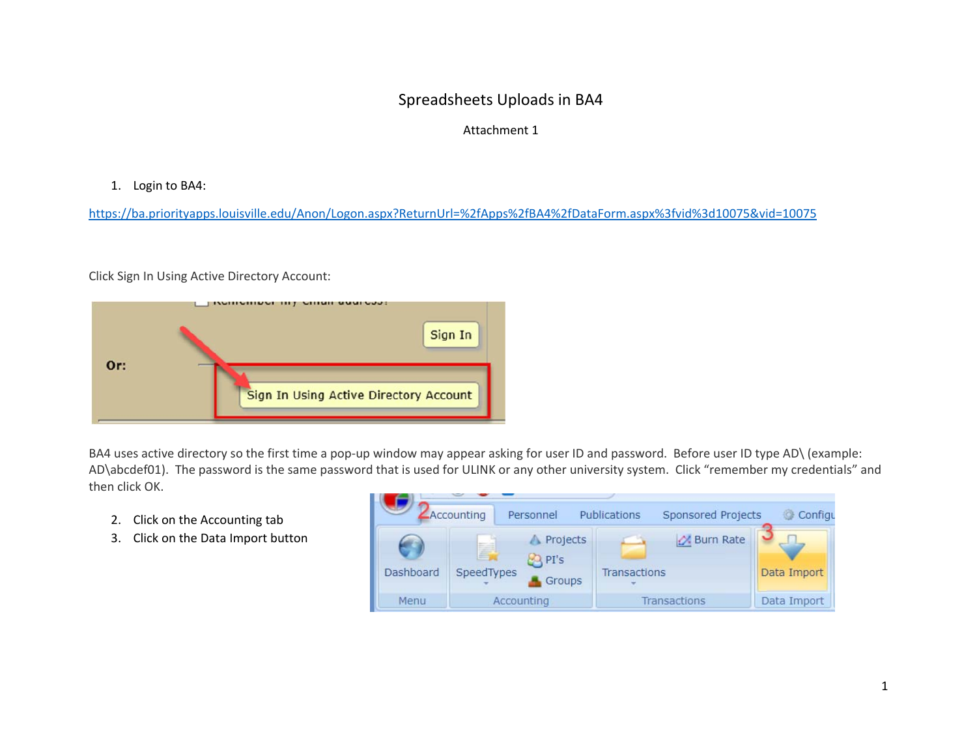## Spreadsheets Uploads in BA4

## Attachment 1

## 1. Login to BA4:

https://ba.priorityapps.louisville.edu/Anon/Logon.aspx?ReturnUrl=%2fApps%2fBA4%2fDataForm.aspx%3fvid%3d10075&vid=10075

Click Sign In Using Active Directory Account:



BA4 uses active directory so the first time a pop-up window may appear asking for user ID and password. Before user ID type AD\ (example: AD\abcdef01). The password is the same password that is used for ULINK or any other university system. Click "remember my credentials" and then click OK.

- 2. Click on the Accounting tab
- 3. Click on the Data Import button

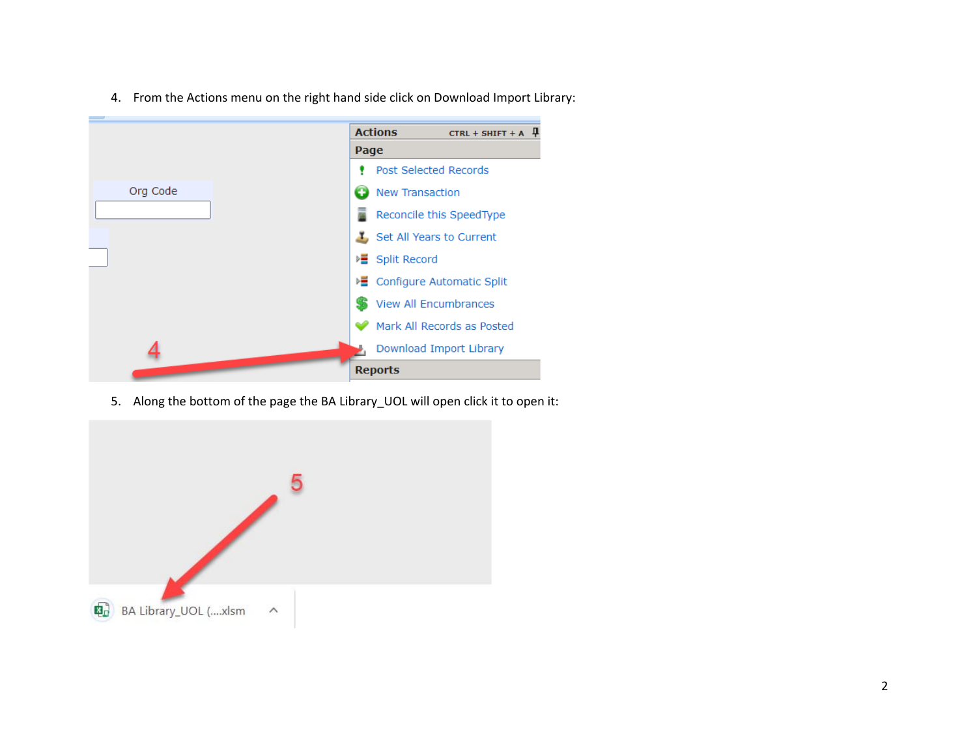4. From the Actions menu on the right hand side click on Download Import Library:



5. Along the bottom of the page the BA Library\_UOL will open click it to open it:

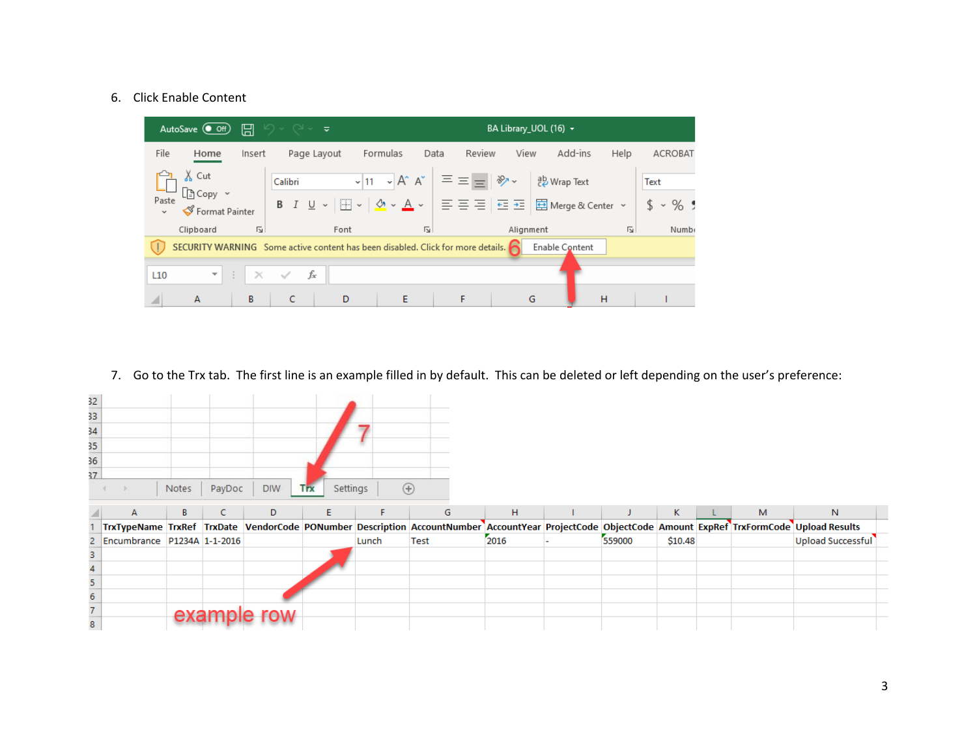## 6. Click Enable Content



7. Go to the Trx tab. The first line is an example filled in by default. This can be deleted or left depending on the user's preference:

| 32              |                             |       |        |            |                        |                |                                                                                                                                                      |      |        |         |   |                   |  |
|-----------------|-----------------------------|-------|--------|------------|------------------------|----------------|------------------------------------------------------------------------------------------------------------------------------------------------------|------|--------|---------|---|-------------------|--|
| 33<br>34        |                             |       |        |            |                        |                |                                                                                                                                                      |      |        |         |   |                   |  |
|                 |                             |       |        |            |                        |                |                                                                                                                                                      |      |        |         |   |                   |  |
| 35              |                             |       |        |            |                        |                |                                                                                                                                                      |      |        |         |   |                   |  |
| $\frac{36}{37}$ |                             |       |        |            |                        |                |                                                                                                                                                      |      |        |         |   |                   |  |
|                 |                             |       |        |            |                        |                |                                                                                                                                                      |      |        |         |   |                   |  |
|                 |                             | Notes | PayDoc | <b>DIW</b> | Settings<br><b>Trx</b> | $^{\circledR}$ |                                                                                                                                                      |      |        |         |   |                   |  |
|                 | $\mathsf{A}$                | B     | C.     | D          | Ε                      | F.             | G                                                                                                                                                    | H.   |        | K.      | M | N.                |  |
|                 |                             |       |        |            |                        |                | TrxTypeName TrxRef TrxDate VendorCode PONumber Description AccountNumber AccountYear ProjectCode ObjectCode Amount ExpRef TrxFormCode Upload Results |      |        |         |   |                   |  |
| 2               | Encumbrance P1234A 1-1-2016 |       |        |            |                        | Lunch          | Test                                                                                                                                                 | 2016 | 559000 | \$10.48 |   | Upload Successful |  |
| 3               |                             |       |        |            |                        |                |                                                                                                                                                      |      |        |         |   |                   |  |
| 4               |                             |       |        |            |                        |                |                                                                                                                                                      |      |        |         |   |                   |  |
| 5               |                             |       |        |            |                        |                |                                                                                                                                                      |      |        |         |   |                   |  |
| $\overline{6}$  |                             |       |        |            |                        |                |                                                                                                                                                      |      |        |         |   |                   |  |
| $\overline{7}$  |                             | exa   |        |            |                        |                |                                                                                                                                                      |      |        |         |   |                   |  |
| 8               |                             |       |        |            |                        |                |                                                                                                                                                      |      |        |         |   |                   |  |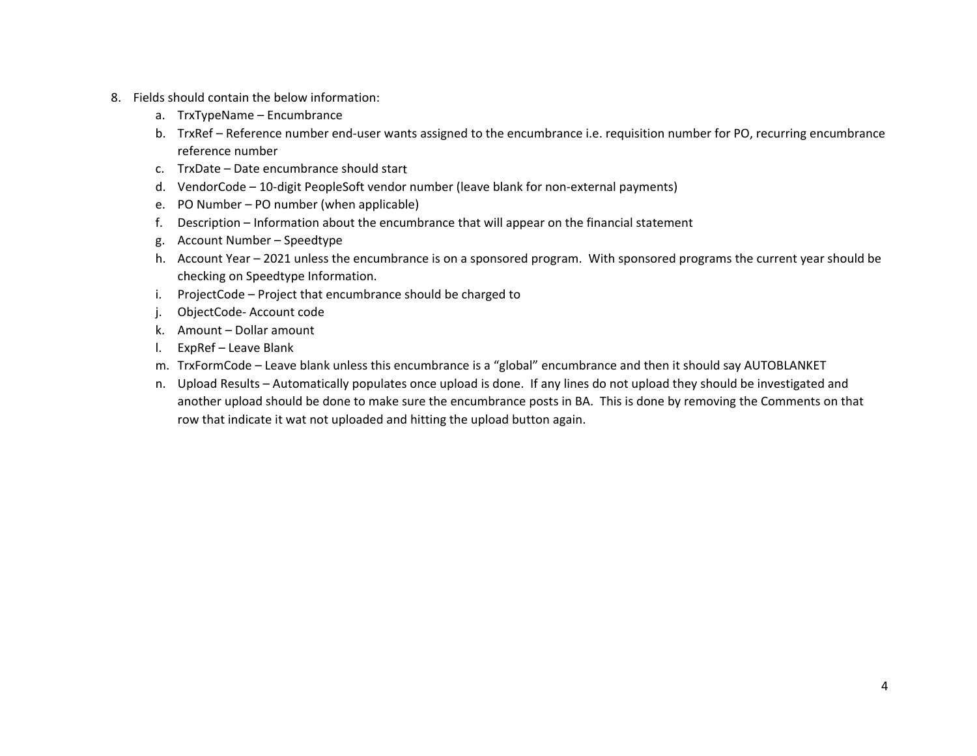- 8. Fields should contain the below information:
	- a. TrxTypeName Encumbrance
	- b. TrxRef Reference number end‐user wants assigned to the encumbrance i.e. requisition number for PO, recurring encumbrance reference number
	- c. TrxDate Date encumbrance should start
	- d. VendorCode 10‐digit PeopleSoft vendor number (leave blank for non‐external payments)
	- e. PO Number PO number (when applicable)
	- f. Description Information about the encumbrance that will appear on the financial statement
	- g. Account Number Speedtype
	- h. Account Year 2021 unless the encumbrance is on a sponsored program. With sponsored programs the current year should be checking on Speedtype Information.
	- i. ProjectCode Project that encumbrance should be charged to
	- j. ObjectCode‐ Account code
	- k. Amount Dollar amount
	- l. ExpRef Leave Blank
	- m. TrxFormCode Leave blank unless this encumbrance is a "global" encumbrance and then it should say AUTOBLANKET
	- n. Upload Results Automatically populates once upload is done. If any lines do not upload they should be investigated and another upload should be done to make sure the encumbrance posts in BA. This is done by removing the Comments on that row that indicate it wat not uploaded and hitting the upload button again.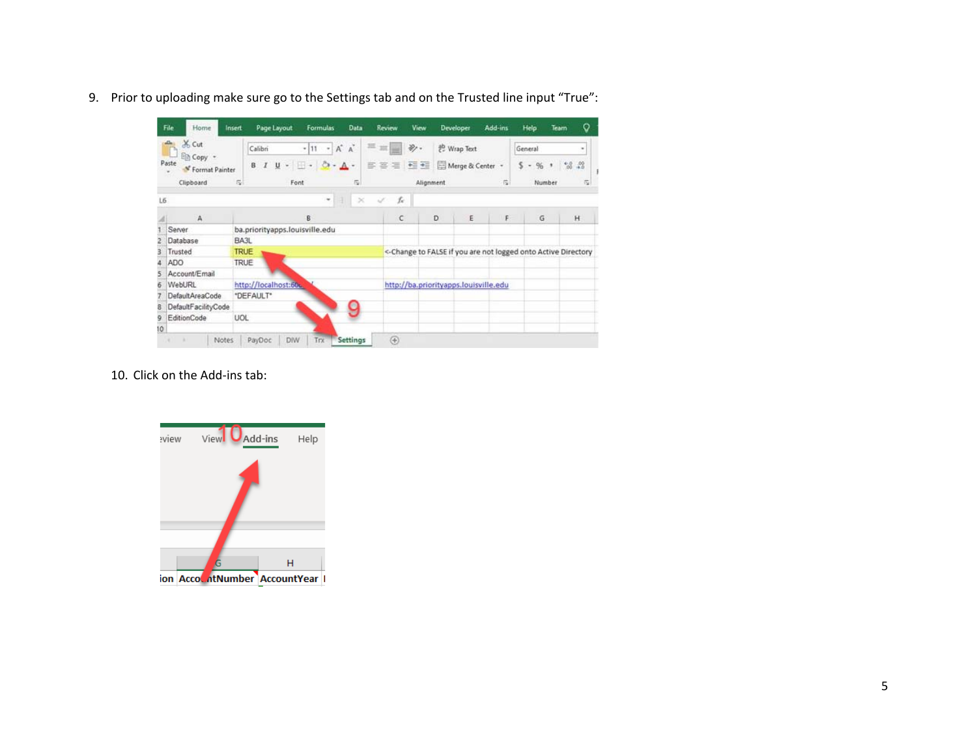9. Prior to uploading make sure go to the Settings tab and on the Trusted line input "True":

|    | File<br>Home                                                   | Insert<br>Page Layout                 | <b>Formulas</b>                            | Data           | Review                    | View             | <b>Developer</b>                                               | Add-ins                            | Help                                          | Team   | o              |  |
|----|----------------------------------------------------------------|---------------------------------------|--------------------------------------------|----------------|---------------------------|------------------|----------------------------------------------------------------|------------------------------------|-----------------------------------------------|--------|----------------|--|
|    | X Cut                                                          | Calibri                               | $-$ A <sup>*</sup> A <sup>*</sup><br>$-11$ |                | $\mathbb{H}$ $\mathbb{H}$ | $\frac{30}{2}$ . | <sup>ab</sup> Wrap Text                                        |                                    | General                                       |        | $\blacksquare$ |  |
|    | En Copy +<br>Paste<br><sup>*</sup> Format Painter<br>Clipboard | 1<br>B<br>$\overline{\alpha}$<br>Font | $U - \Box - \bigcirc - \underline{A}$      | $\overline{c}$ | 百百三 强强                    | Alignment        | Merge & Center +                                               | $\overline{u}$                     | \$<br>%<br>$\overline{\phantom{a}}$<br>Number | $\,$ , | $-3.22$<br>应   |  |
| L6 |                                                                |                                       | ٠                                          | ×              | Ŀ                         |                  |                                                                |                                    |                                               |        |                |  |
|    | А                                                              |                                       | B                                          |                | C                         |                  | D<br>E                                                         | $\langle \hat{\mathbf{F}} \rangle$ | G                                             |        | H              |  |
|    | Server                                                         | ba.priorityapps.louisville.edu        |                                            |                |                           |                  |                                                                |                                    |                                               |        |                |  |
|    | Database                                                       | BA3L                                  |                                            |                |                           |                  |                                                                |                                    |                                               |        |                |  |
| з  | Trusted                                                        | <b>TRUE</b>                           |                                            |                |                           |                  | <- Change to FALSE if you are not logged onto Active Directory |                                    |                                               |        |                |  |
|    | <b>ADO</b>                                                     | <b>TRUE</b>                           |                                            |                |                           |                  |                                                                |                                    |                                               |        |                |  |
| 5  | Account/Email                                                  |                                       |                                            |                |                           |                  |                                                                |                                    |                                               |        |                |  |
| б  | WebURL                                                         | http://localhost:60u.                 |                                            |                |                           |                  | http://ba.priorityapps.louisville.edu                          |                                    |                                               |        |                |  |
|    | DefaultAreaCode                                                | *DEFAULT*                             |                                            |                |                           |                  |                                                                |                                    |                                               |        |                |  |
| 8  | DefaultFacilityCode                                            |                                       |                                            |                |                           |                  |                                                                |                                    |                                               |        |                |  |
| 9  | EditionCode                                                    | UOL                                   |                                            |                |                           |                  |                                                                |                                    |                                               |        |                |  |
| 10 |                                                                |                                       |                                            |                |                           |                  |                                                                |                                    |                                               |        |                |  |

10. Click on the Add‐ins tab: